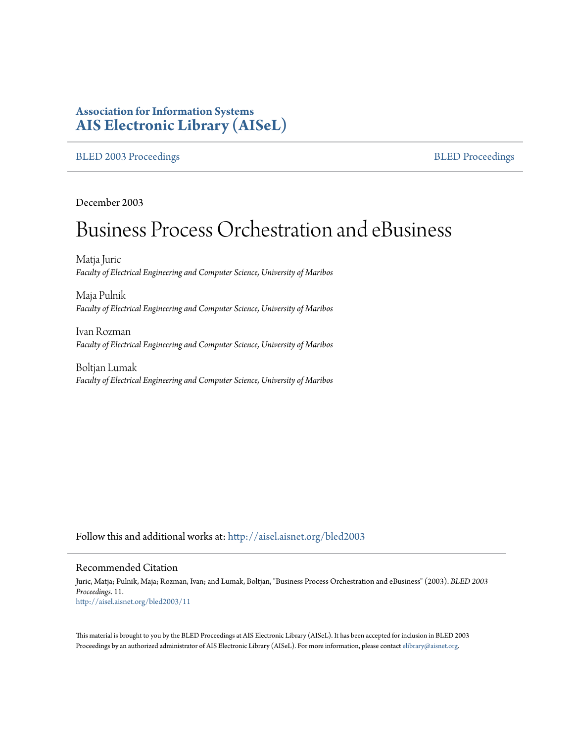# **Association for Information Systems [AIS Electronic Library \(AISeL\)](http://aisel.aisnet.org?utm_source=aisel.aisnet.org%2Fbled2003%2F11&utm_medium=PDF&utm_campaign=PDFCoverPages)**

#### [BLED 2003 Proceedings](http://aisel.aisnet.org/bled2003?utm_source=aisel.aisnet.org%2Fbled2003%2F11&utm_medium=PDF&utm_campaign=PDFCoverPages) and the state of the state of the [BLED Proceedings](http://aisel.aisnet.org/bled?utm_source=aisel.aisnet.org%2Fbled2003%2F11&utm_medium=PDF&utm_campaign=PDFCoverPages) and the BLED Proceedings and the BLED Proceedings and the BLED Proceedings and the BLED Proceedings and the BLED Proceedings and the BLED Proceedings

December 2003

# Business Process Orchestration and eBusiness

Matja Juric *Faculty of Electrical Engineering and Computer Science, University of Maribos*

Maja Pulnik *Faculty of Electrical Engineering and Computer Science, University of Maribos*

Ivan Rozman *Faculty of Electrical Engineering and Computer Science, University of Maribos*

Boltjan Lumak *Faculty of Electrical Engineering and Computer Science, University of Maribos*

Follow this and additional works at: [http://aisel.aisnet.org/bled2003](http://aisel.aisnet.org/bled2003?utm_source=aisel.aisnet.org%2Fbled2003%2F11&utm_medium=PDF&utm_campaign=PDFCoverPages)

# Recommended Citation

Juric, Matja; Pulnik, Maja; Rozman, Ivan; and Lumak, Boltjan, "Business Process Orchestration and eBusiness" (2003). *BLED 2003 Proceedings*. 11. [http://aisel.aisnet.org/bled2003/11](http://aisel.aisnet.org/bled2003/11?utm_source=aisel.aisnet.org%2Fbled2003%2F11&utm_medium=PDF&utm_campaign=PDFCoverPages)

This material is brought to you by the BLED Proceedings at AIS Electronic Library (AISeL). It has been accepted for inclusion in BLED 2003 Proceedings by an authorized administrator of AIS Electronic Library (AISeL). For more information, please contact [elibrary@aisnet.org](mailto:elibrary@aisnet.org%3E).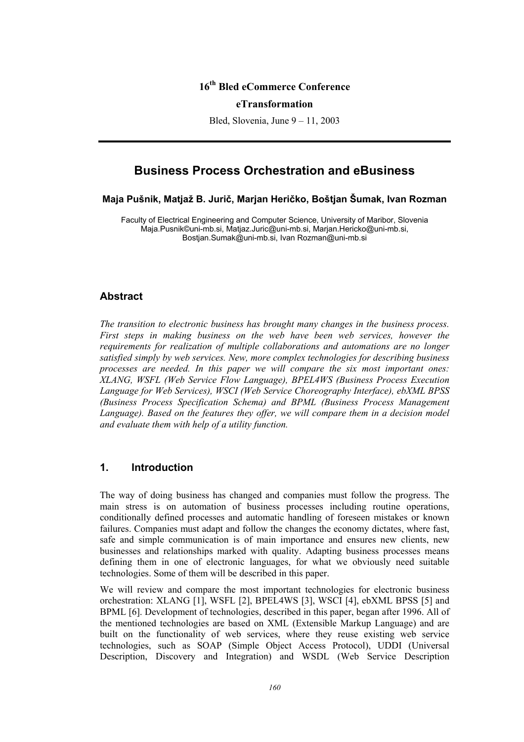# **16th Bled eCommerce Conference**

#### **eTransformation**

Bled, Slovenia, June 9 – 11, 2003

# **Business Process Orchestration and eBusiness**

#### **Maja Pušnik, Matjaž B. Jurič, Marjan Heričko, Boštjan Šumak, Ivan Rozman**

Faculty of Electrical Engineering and Computer Science, University of Maribor, Slovenia Maja.Pusnik©uni-mb.si, Matjaz.Juric@uni-mb.si, Marjan.Hericko@uni-mb.si, Bostjan.Sumak@uni-mb.si, Ivan Rozman@uni-mb.si

#### **Abstract**

*The transition to electronic business has brought many changes in the business process. First steps in making business on the web have been web services, however the requirements for realization of multiple collaborations and automations are no longer satisfied simply by web services. New, more complex technologies for describing business processes are needed. In this paper we will compare the six most important ones: XLANG, WSFL (Web Service Flow Language), BPEL4WS (Business Process Execution Language for Web Services), WSCI (Web Service Choreography Interface), ebXML BPSS (Business Process Specification Schema) and BPML (Business Process Management*  Language). Based on the features they offer, we will compare them in a decision model *and evaluate them with help of a utility function.* 

# **1. Introduction**

The way of doing business has changed and companies must follow the progress. The main stress is on automation of business processes including routine operations, conditionally defined processes and automatic handling of foreseen mistakes or known failures. Companies must adapt and follow the changes the economy dictates, where fast, safe and simple communication is of main importance and ensures new clients, new businesses and relationships marked with quality. Adapting business processes means defining them in one of electronic languages, for what we obviously need suitable technologies. Some of them will be described in this paper.

We will review and compare the most important technologies for electronic business orchestration: XLANG [1], WSFL [2], BPEL4WS [3], WSCI [4], ebXML BPSS [5] and BPML [6]. Development of technologies, described in this paper, began after 1996. All of the mentioned technologies are based on XML (Extensible Markup Language) and are built on the functionality of web services, where they reuse existing web service technologies, such as SOAP (Simple Object Access Protocol), UDDI (Universal Description, Discovery and Integration) and WSDL (Web Service Description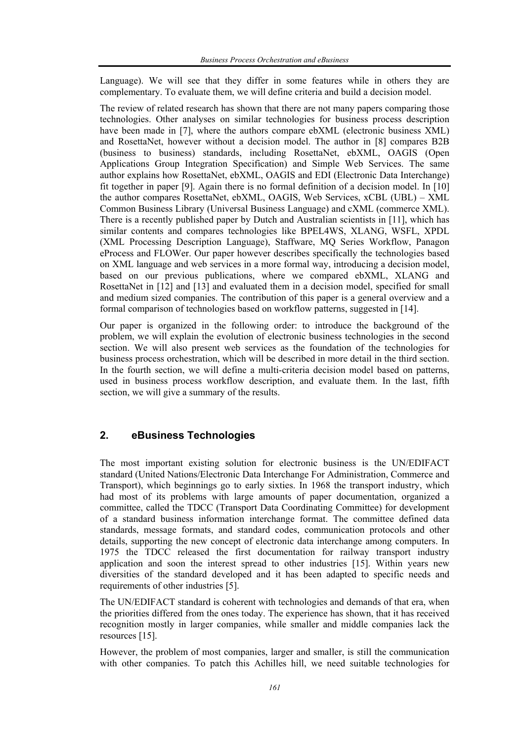Language). We will see that they differ in some features while in others they are complementary. To evaluate them, we will define criteria and build a decision model.

The review of related research has shown that there are not many papers comparing those technologies. Other analyses on similar technologies for business process description have been made in [7], where the authors compare ebXML (electronic business XML) and RosettaNet, however without a decision model. The author in [8] compares B2B (business to business) standards, including RosettaNet, ebXML, OAGIS (Open Applications Group Integration Specification) and Simple Web Services. The same author explains how RosettaNet, ebXML, OAGIS and EDI (Electronic Data Interchange) fit together in paper [9]. Again there is no formal definition of a decision model. In [10] the author compares RosettaNet, ebXML, OAGIS, Web Services, xCBL (UBL) – XML Common Business Library (Universal Business Language) and cXML (commerce XML). There is a recently published paper by Dutch and Australian scientists in [11], which has similar contents and compares technologies like BPEL4WS, XLANG, WSFL, XPDL (XML Processing Description Language), Staffware, MQ Series Workflow, Panagon eProcess and FLOWer. Our paper however describes specifically the technologies based on XML language and web services in a more formal way, introducing a decision model, based on our previous publications, where we compared ebXML, XLANG and RosettaNet in [12] and [13] and evaluated them in a decision model, specified for small and medium sized companies. The contribution of this paper is a general overview and a formal comparison of technologies based on workflow patterns, suggested in [14].

Our paper is organized in the following order: to introduce the background of the problem, we will explain the evolution of electronic business technologies in the second section. We will also present web services as the foundation of the technologies for business process orchestration, which will be described in more detail in the third section. In the fourth section, we will define a multi-criteria decision model based on patterns, used in business process workflow description, and evaluate them. In the last, fifth section, we will give a summary of the results.

# **2. eBusiness Technologies**

The most important existing solution for electronic business is the UN/EDIFACT standard (United Nations/Electronic Data Interchange For Administration, Commerce and Transport), which beginnings go to early sixties. In 1968 the transport industry, which had most of its problems with large amounts of paper documentation, organized a committee, called the TDCC (Transport Data Coordinating Committee) for development of a standard business information interchange format. The committee defined data standards, message formats, and standard codes, communication protocols and other details, supporting the new concept of electronic data interchange among computers. In 1975 the TDCC released the first documentation for railway transport industry application and soon the interest spread to other industries [15]. Within years new diversities of the standard developed and it has been adapted to specific needs and requirements of other industries [5].

The UN/EDIFACT standard is coherent with technologies and demands of that era, when the priorities differed from the ones today. The experience has shown, that it has received recognition mostly in larger companies, while smaller and middle companies lack the resources [15].

However, the problem of most companies, larger and smaller, is still the communication with other companies. To patch this Achilles hill, we need suitable technologies for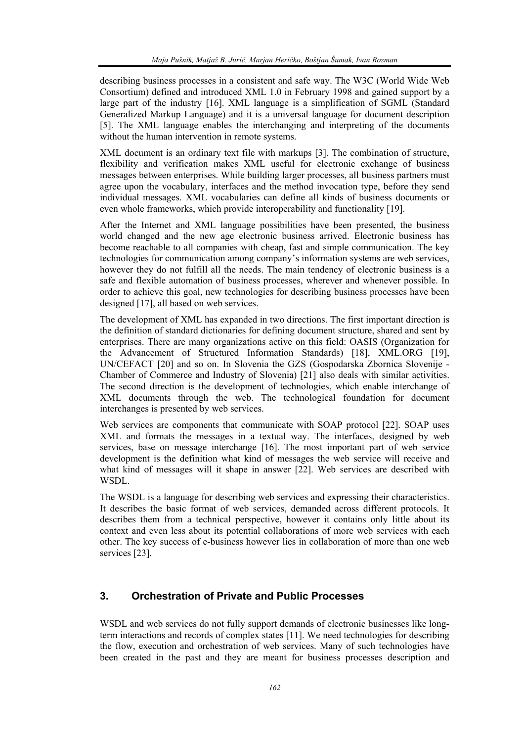describing business processes in a consistent and safe way. The W3C (World Wide Web Consortium) defined and introduced XML 1.0 in February 1998 and gained support by a large part of the industry [16]. XML language is a simplification of SGML (Standard Generalized Markup Language) and it is a universal language for document description [5]. The XML language enables the interchanging and interpreting of the documents without the human intervention in remote systems.

XML document is an ordinary text file with markups [3]. The combination of structure, flexibility and verification makes XML useful for electronic exchange of business messages between enterprises. While building larger processes, all business partners must agree upon the vocabulary, interfaces and the method invocation type, before they send individual messages. XML vocabularies can define all kinds of business documents or even whole frameworks, which provide interoperability and functionality [19].

After the Internet and XML language possibilities have been presented, the business world changed and the new age electronic business arrived. Electronic business has become reachable to all companies with cheap, fast and simple communication. The key technologies for communication among company's information systems are web services, however they do not fulfill all the needs. The main tendency of electronic business is a safe and flexible automation of business processes, wherever and whenever possible. In order to achieve this goal, new technologies for describing business processes have been designed [17], all based on web services.

The development of XML has expanded in two directions. The first important direction is the definition of standard dictionaries for defining document structure, shared and sent by enterprises. There are many organizations active on this field: OASIS (Organization for the Advancement of Structured Information Standards) [18], XML.ORG [19], UN/CEFACT [20] and so on. In Slovenia the GZS (Gospodarska Zbornica Slovenije - Chamber of Commerce and Industry of Slovenia) [21] also deals with similar activities. The second direction is the development of technologies, which enable interchange of XML documents through the web. The technological foundation for document interchanges is presented by web services.

Web services are components that communicate with SOAP protocol [22]. SOAP uses XML and formats the messages in a textual way. The interfaces, designed by web services, base on message interchange [16]. The most important part of web service development is the definition what kind of messages the web service will receive and what kind of messages will it shape in answer [22]. Web services are described with WSDL.

The WSDL is a language for describing web services and expressing their characteristics. It describes the basic format of web services, demanded across different protocols. It describes them from a technical perspective, however it contains only little about its context and even less about its potential collaborations of more web services with each other. The key success of e-business however lies in collaboration of more than one web services [23].

# **3. Orchestration of Private and Public Processes**

WSDL and web services do not fully support demands of electronic businesses like longterm interactions and records of complex states [11]. We need technologies for describing the flow, execution and orchestration of web services. Many of such technologies have been created in the past and they are meant for business processes description and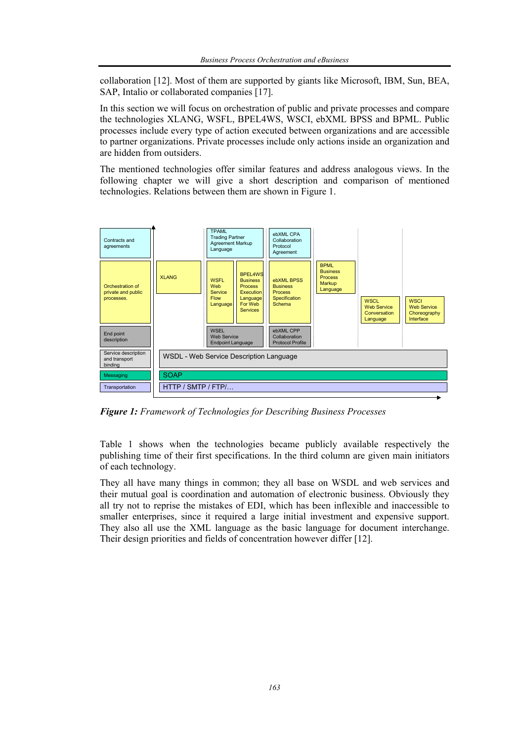collaboration [12]. Most of them are supported by giants like Microsoft, IBM, Sun, BEA, SAP, Intalio or collaborated companies [17].

In this section we will focus on orchestration of public and private processes and compare the technologies XLANG, WSFL, BPEL4WS, WSCI, ebXML BPSS and BPML. Public processes include every type of action executed between organizations and are accessible to partner organizations. Private processes include only actions inside an organization and are hidden from outsiders.

The mentioned technologies offer similar features and address analogous views. In the following chapter we will give a short description and comparison of mentioned technologies. Relations between them are shown in Figure 1.



*Figure 1: Framework of Technologies for Describing Business Processes* 

Table 1 shows when the technologies became publicly available respectively the publishing time of their first specifications. In the third column are given main initiators of each technology.

They all have many things in common; they all base on WSDL and web services and their mutual goal is coordination and automation of electronic business. Obviously they all try not to reprise the mistakes of EDI, which has been inflexible and inaccessible to smaller enterprises, since it required a large initial investment and expensive support. They also all use the XML language as the basic language for document interchange. Their design priorities and fields of concentration however differ [12].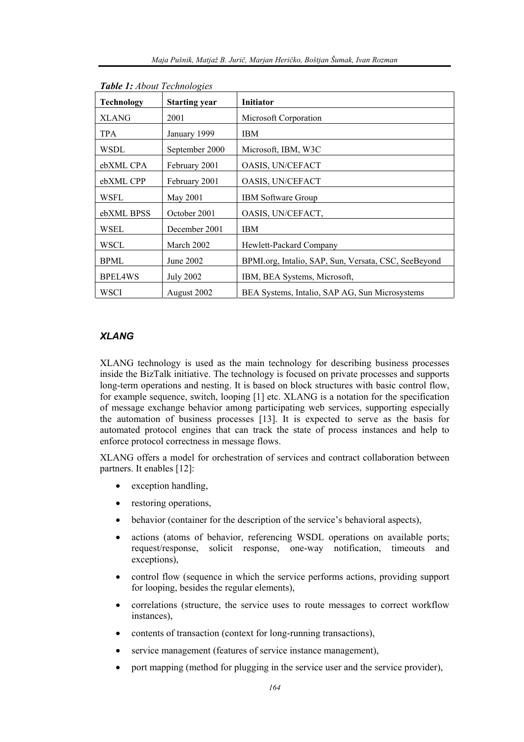| Technology     | <b>Starting year</b> | <b>Initiator</b>                                    |
|----------------|----------------------|-----------------------------------------------------|
| <b>XLANG</b>   | 2001                 | Microsoft Corporation                               |
| TPA            | January 1999         | <b>IBM</b>                                          |
| WSDL           | September 2000       | Microsoft, IBM, W3C                                 |
| ebXML CPA      | February 2001        | OASIS, UN/CEFACT                                    |
| ebXML CPP      | February 2001        | OASIS, UN/CEFACT                                    |
| WSFL           | May 2001             | <b>IBM Software Group</b>                           |
| ebXML BPSS     | October 2001         | OASIS, UN/CEFACT,                                   |
| WSEL           | December 2001        | <b>IBM</b>                                          |
| WSCL           | March 2002           | Hewlett-Packard Company                             |
| BPML           | June 2002            | BPMLorg, Intalio, SAP, Sun, Versata, CSC, SeeBeyond |
| <b>BPEL4WS</b> | <b>July 2002</b>     | IBM, BEA Systems, Microsoft,                        |
| WSCI           | August 2002          | BEA Systems, Intalio, SAP AG, Sun Microsystems      |

#### *Table 1: About Technologies*

# *XLANG*

XLANG technology is used as the main technology for describing business processes inside the BizTalk initiative. The technology is focused on private processes and supports long-term operations and nesting. It is based on block structures with basic control flow, for example sequence, switch, looping [1] etc. XLANG is a notation for the specification of message exchange behavior among participating web services, supporting especially the automation of business processes [13]. It is expected to serve as the basis for automated protocol engines that can track the state of process instances and help to enforce protocol correctness in message flows.

XLANG offers a model for orchestration of services and contract collaboration between partners. It enables [12]:

- exception handling,
- restoring operations,
- behavior (container for the description of the service's behavioral aspects),
- actions (atoms of behavior, referencing WSDL operations on available ports; request/response, solicit response, one-way notification, timeouts and exceptions),
- control flow (sequence in which the service performs actions, providing support for looping, besides the regular elements),
- correlations (structure, the service uses to route messages to correct workflow instances),
- contents of transaction (context for long-running transactions),
- service management (features of service instance management),
- port mapping (method for plugging in the service user and the service provider),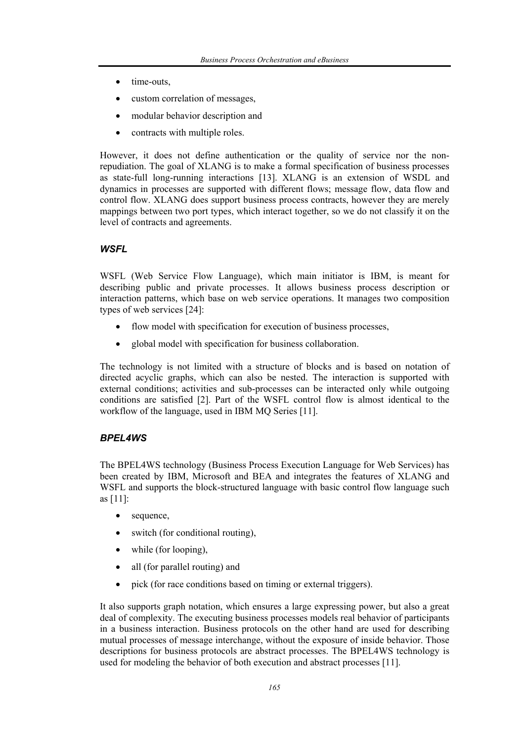- time-outs,
- custom correlation of messages,
- modular behavior description and
- contracts with multiple roles.

However, it does not define authentication or the quality of service nor the nonrepudiation. The goal of XLANG is to make a formal specification of business processes as state-full long-running interactions [13]. XLANG is an extension of WSDL and dynamics in processes are supported with different flows; message flow, data flow and control flow. XLANG does support business process contracts, however they are merely mappings between two port types, which interact together, so we do not classify it on the level of contracts and agreements.

#### *WSFL*

WSFL (Web Service Flow Language), which main initiator is IBM, is meant for describing public and private processes. It allows business process description or interaction patterns, which base on web service operations. It manages two composition types of web services [24]:

- flow model with specification for execution of business processes.
- global model with specification for business collaboration.

The technology is not limited with a structure of blocks and is based on notation of directed acyclic graphs, which can also be nested. The interaction is supported with external conditions; activities and sub-processes can be interacted only while outgoing conditions are satisfied [2]. Part of the WSFL control flow is almost identical to the workflow of the language, used in IBM MQ Series [11].

## *BPEL4WS*

The BPEL4WS technology (Business Process Execution Language for Web Services) has been created by IBM, Microsoft and BEA and integrates the features of XLANG and WSFL and supports the block-structured language with basic control flow language such as [11]:

- sequence,
- switch (for conditional routing),
- while (for looping),
- all (for parallel routing) and
- pick (for race conditions based on timing or external triggers).

It also supports graph notation, which ensures a large expressing power, but also a great deal of complexity. The executing business processes models real behavior of participants in a business interaction. Business protocols on the other hand are used for describing mutual processes of message interchange, without the exposure of inside behavior. Those descriptions for business protocols are abstract processes. The BPEL4WS technology is used for modeling the behavior of both execution and abstract processes [11].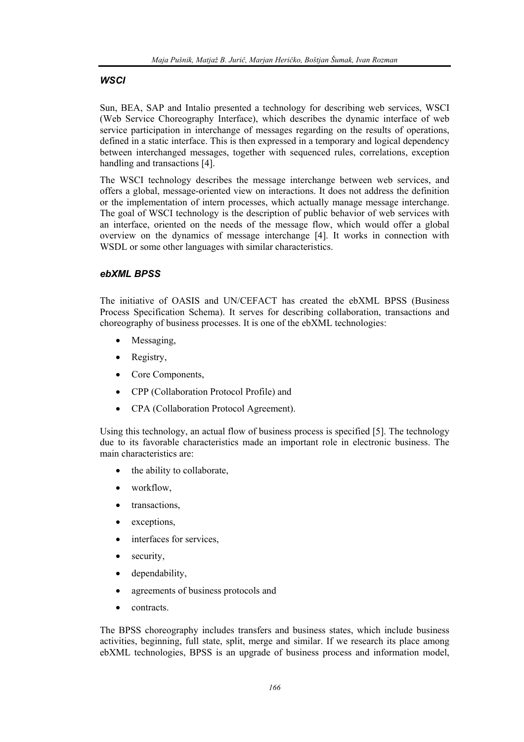## *WSCI*

Sun, BEA, SAP and Intalio presented a technology for describing web services, WSCI (Web Service Choreography Interface), which describes the dynamic interface of web service participation in interchange of messages regarding on the results of operations, defined in a static interface. This is then expressed in a temporary and logical dependency between interchanged messages, together with sequenced rules, correlations, exception handling and transactions [4].

The WSCI technology describes the message interchange between web services, and offers a global, message-oriented view on interactions. It does not address the definition or the implementation of intern processes, which actually manage message interchange. The goal of WSCI technology is the description of public behavior of web services with an interface, oriented on the needs of the message flow, which would offer a global overview on the dynamics of message interchange [4]. It works in connection with WSDL or some other languages with similar characteristics.

## *ebXML BPSS*

The initiative of OASIS and UN/CEFACT has created the ebXML BPSS (Business Process Specification Schema). It serves for describing collaboration, transactions and choreography of business processes. It is one of the ebXML technologies:

- Messaging,
- Registry,
- Core Components,
- CPP (Collaboration Protocol Profile) and
- CPA (Collaboration Protocol Agreement).

Using this technology, an actual flow of business process is specified [5]. The technology due to its favorable characteristics made an important role in electronic business. The main characteristics are:

- the ability to collaborate,
- workflow.
- transactions,
- exceptions,
- interfaces for services,
- security,
- dependability,
- agreements of business protocols and
- contracts.

The BPSS choreography includes transfers and business states, which include business activities, beginning, full state, split, merge and similar. If we research its place among ebXML technologies, BPSS is an upgrade of business process and information model,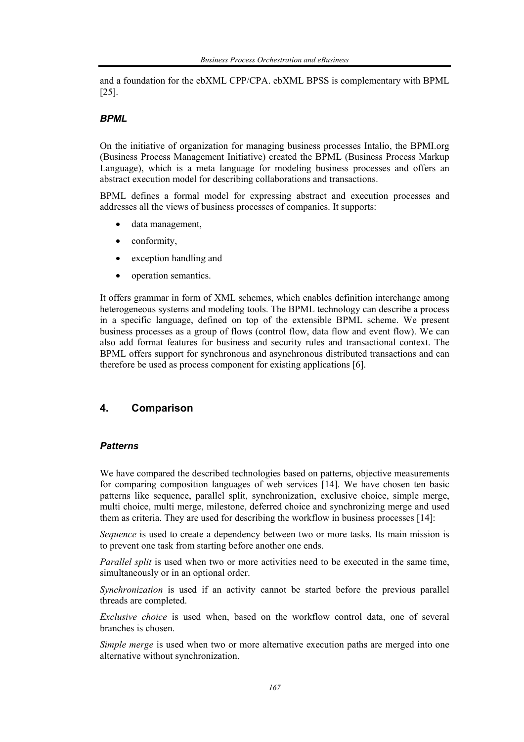and a foundation for the ebXML CPP/CPA. ebXML BPSS is complementary with BPML [25].

## *BPML*

On the initiative of organization for managing business processes Intalio, the BPMI.org (Business Process Management Initiative) created the BPML (Business Process Markup Language), which is a meta language for modeling business processes and offers an abstract execution model for describing collaborations and transactions.

BPML defines a formal model for expressing abstract and execution processes and addresses all the views of business processes of companies. It supports:

- data management,
- conformity,
- exception handling and
- operation semantics.

It offers grammar in form of XML schemes, which enables definition interchange among heterogeneous systems and modeling tools. The BPML technology can describe a process in a specific language, defined on top of the extensible BPML scheme. We present business processes as a group of flows (control flow, data flow and event flow). We can also add format features for business and security rules and transactional context. The BPML offers support for synchronous and asynchronous distributed transactions and can therefore be used as process component for existing applications [6].

# **4. Comparison**

## *Patterns*

We have compared the described technologies based on patterns, objective measurements for comparing composition languages of web services [14]. We have chosen ten basic patterns like sequence, parallel split, synchronization, exclusive choice, simple merge, multi choice, multi merge, milestone, deferred choice and synchronizing merge and used them as criteria. They are used for describing the workflow in business processes [14]:

*Sequence* is used to create a dependency between two or more tasks. Its main mission is to prevent one task from starting before another one ends.

*Parallel split* is used when two or more activities need to be executed in the same time, simultaneously or in an optional order.

*Synchronization* is used if an activity cannot be started before the previous parallel threads are completed.

*Exclusive choice* is used when, based on the workflow control data, one of several branches is chosen.

*Simple merge* is used when two or more alternative execution paths are merged into one alternative without synchronization.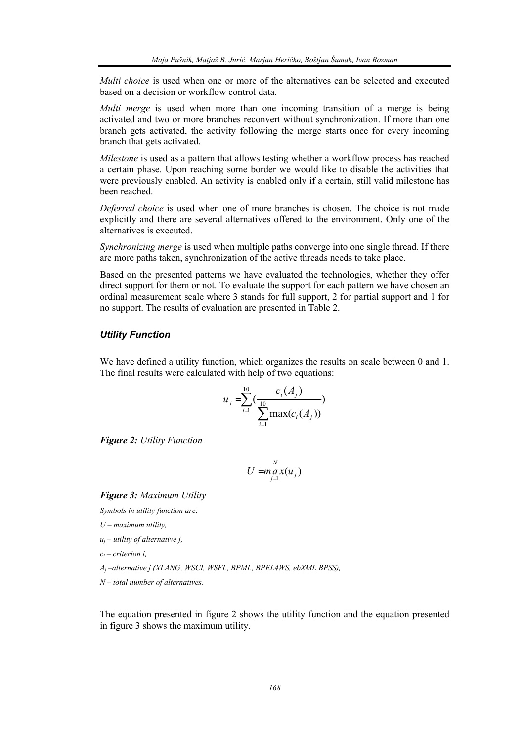*Multi choice* is used when one or more of the alternatives can be selected and executed based on a decision or workflow control data.

*Multi merge* is used when more than one incoming transition of a merge is being activated and two or more branches reconvert without synchronization. If more than one branch gets activated, the activity following the merge starts once for every incoming branch that gets activated.

*Milestone* is used as a pattern that allows testing whether a workflow process has reached a certain phase. Upon reaching some border we would like to disable the activities that were previously enabled. An activity is enabled only if a certain, still valid milestone has been reached.

*Deferred choice* is used when one of more branches is chosen. The choice is not made explicitly and there are several alternatives offered to the environment. Only one of the alternatives is executed.

*Synchronizing merge* is used when multiple paths converge into one single thread. If there are more paths taken, synchronization of the active threads needs to take place.

Based on the presented patterns we have evaluated the technologies, whether they offer direct support for them or not. To evaluate the support for each pattern we have chosen an ordinal measurement scale where 3 stands for full support, 2 for partial support and 1 for no support. The results of evaluation are presented in Table 2.

#### *Utility Function*

We have defined a utility function, which organizes the results on scale between 0 and 1. The final results were calculated with help of two equations:

$$
u_j = \sum_{i=1}^{10} \left( \frac{c_i(A_j)}{\sum_{i=1}^{10} \max(c_i(A_j))} \right)
$$

*Figure 2: Utility Function* 

$$
U = \max_{j=1}^N x(u_j)
$$

*Figure 3: Maximum Utility* 

*Symbols in utility function are:* 

- *U maximum utility,*
- *uj utility of alternative j,*

*ci – criterion i,* 

*Aj –alternative j (XLANG, WSCI, WSFL, BPML, BPEL4WS, ebXML BPSS),* 

*N – total number of alternatives.* 

The equation presented in figure 2 shows the utility function and the equation presented in figure 3 shows the maximum utility.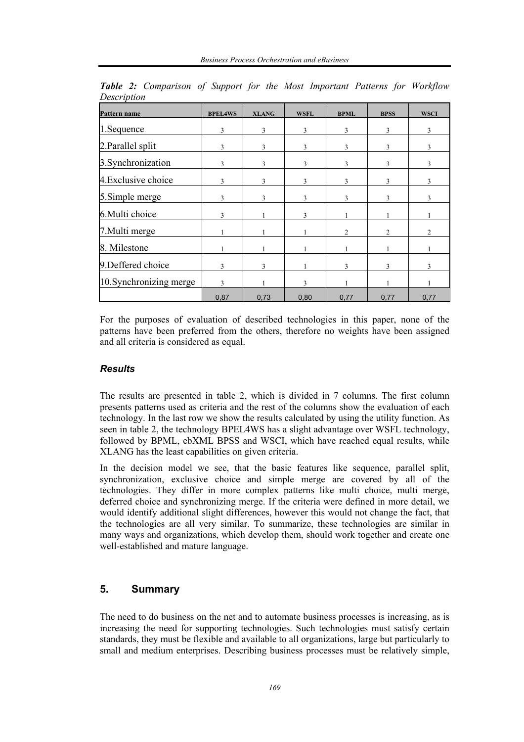| Pattern name            | <b>BPEL4WS</b> | <b>XLANG</b> | <b>WSFL</b>   | <b>BPML</b>    | <b>BPSS</b>    | <b>WSCI</b> |
|-------------------------|----------------|--------------|---------------|----------------|----------------|-------------|
| 1. Sequence             | 3              | 3            | 3             | 3              | 3              | 3           |
| 2. Parallel split       | 3              | 3            | $\mathcal{E}$ | 3              | 3              | 3           |
| 3. Synchronization      | 3              | 3            | 3             | 3              | 3              | 3           |
| 4. Exclusive choice     | 3              | 3            | 3             | 3              | 3              | 3           |
| 5. Simple merge         | 3              | 3            | $\mathbf{3}$  | 3              | $\mathbf{3}$   | 3           |
| 6. Multi choice         | 3              |              | $\mathcal{E}$ |                |                |             |
| 7. Multi merge          |                |              |               | $\overline{2}$ | $\mathfrak{D}$ | 2           |
| 8. Milestone            |                |              |               |                |                |             |
| 9. Deffered choice      | 3              | 3            |               | 3              | 3              | 3           |
| 10. Synchronizing merge | $\mathbf{3}$   |              | 3             |                |                |             |
|                         | 0,87           | 0,73         | 0,80          | 0,77           | 0,77           | 0,77        |

*Table 2: Comparison of Support for the Most Important Patterns for Workflow Description* 

For the purposes of evaluation of described technologies in this paper, none of the patterns have been preferred from the others, therefore no weights have been assigned and all criteria is considered as equal.

# *Results*

The results are presented in table 2, which is divided in 7 columns. The first column presents patterns used as criteria and the rest of the columns show the evaluation of each technology. In the last row we show the results calculated by using the utility function. As seen in table 2, the technology BPEL4WS has a slight advantage over WSFL technology, followed by BPML, ebXML BPSS and WSCI, which have reached equal results, while XLANG has the least capabilities on given criteria.

In the decision model we see, that the basic features like sequence, parallel split, synchronization, exclusive choice and simple merge are covered by all of the technologies. They differ in more complex patterns like multi choice, multi merge, deferred choice and synchronizing merge. If the criteria were defined in more detail, we would identify additional slight differences, however this would not change the fact, that the technologies are all very similar. To summarize, these technologies are similar in many ways and organizations, which develop them, should work together and create one well-established and mature language.

# **5. Summary**

The need to do business on the net and to automate business processes is increasing, as is increasing the need for supporting technologies. Such technologies must satisfy certain standards, they must be flexible and available to all organizations, large but particularly to small and medium enterprises. Describing business processes must be relatively simple,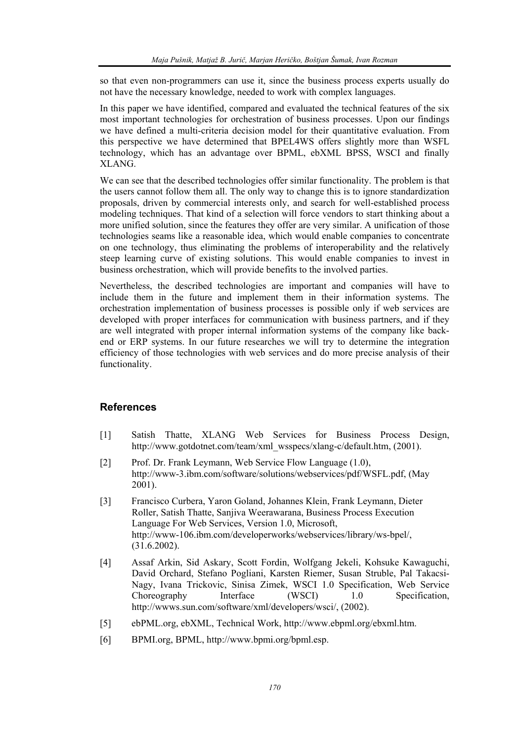so that even non-programmers can use it, since the business process experts usually do not have the necessary knowledge, needed to work with complex languages.

In this paper we have identified, compared and evaluated the technical features of the six most important technologies for orchestration of business processes. Upon our findings we have defined a multi-criteria decision model for their quantitative evaluation. From this perspective we have determined that BPEL4WS offers slightly more than WSFL technology, which has an advantage over BPML, ebXML BPSS, WSCI and finally XLANG.

We can see that the described technologies offer similar functionality. The problem is that the users cannot follow them all. The only way to change this is to ignore standardization proposals, driven by commercial interests only, and search for well-established process modeling techniques. That kind of a selection will force vendors to start thinking about a more unified solution, since the features they offer are very similar. A unification of those technologies seams like a reasonable idea, which would enable companies to concentrate on one technology, thus eliminating the problems of interoperability and the relatively steep learning curve of existing solutions. This would enable companies to invest in business orchestration, which will provide benefits to the involved parties.

Nevertheless, the described technologies are important and companies will have to include them in the future and implement them in their information systems. The orchestration implementation of business processes is possible only if web services are developed with proper interfaces for communication with business partners, and if they are well integrated with proper internal information systems of the company like backend or ERP systems. In our future researches we will try to determine the integration efficiency of those technologies with web services and do more precise analysis of their functionality.

## **References**

- [1] Satish Thatte, XLANG Web Services for Business Process Design, http://www.gotdotnet.com/team/xml\_wsspecs/xlang-c/default.htm, (2001).
- [2] Prof. Dr. Frank Leymann, Web Service Flow Language (1.0), http://www-3.ibm.com/software/solutions/webservices/pdf/WSFL.pdf, (May 2001).
- [3] Francisco Curbera, Yaron Goland, Johannes Klein, Frank Leymann, Dieter Roller, Satish Thatte, Sanjiva Weerawarana, Business Process Execution Language For Web Services, Version 1.0, Microsoft, http://www-106.ibm.com/developerworks/webservices/library/ws-bpel/, (31.6.2002).
- [4] Assaf Arkin, Sid Askary, Scott Fordin, Wolfgang Jekeli, Kohsuke Kawaguchi, David Orchard, Stefano Pogliani, Karsten Riemer, Susan Struble, Pal Takacsi-Nagy, Ivana Trickovic, Sinisa Zimek, WSCI 1.0 Specification, Web Service Choreography Interface (WSCI) 1.0 Specification, http://wwws.sun.com/software/xml/developers/wsci/, (2002).
- [5] ebPML.org, ebXML, Technical Work, http://www.ebpml.org/ebxml.htm.
- [6] BPMI.org, BPML, http://www.bpmi.org/bpml.esp.